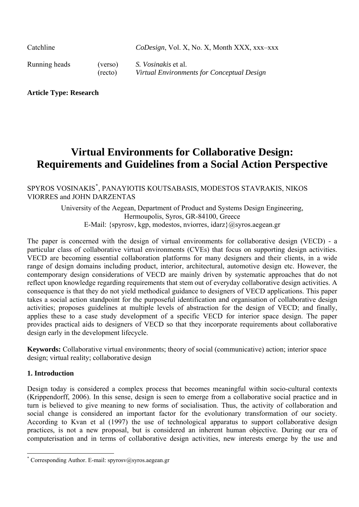Catchline *CoDesign*, Vol. X, No. X, Month XXX, xxx–xxx

Running heads (verso) *S. Vosinakis* et al. (recto) *Virtual Environments for Conceptual Design*

**Article Type: Research** 

# **Virtual Environments for Collaborative Design: Requirements and Guidelines from a Social Action Perspective**

SPYROS VOSINAKIS[\\*](#page-0-0) , PANAYIOTIS KOUTSABASIS, MODESTOS STAVRAKIS, NIKOS VIORRES and JOHN DARZENTAS

> University of the Aegean, Department of Product and Systems Design Engineering, Hermoupolis, Syros, GR-84100, Greece E-Mail: {spyrosv, kgp, modestos, nviorres, idarz}@syros.aegean.gr

The paper is concerned with the design of virtual environments for collaborative design (VECD) - a particular class of collaborative virtual environments (CVEs) that focus on supporting design activities. VECD are becoming essential collaboration platforms for many designers and their clients, in a wide range of design domains including product, interior, architectural, automotive design etc. However, the contemporary design considerations of VECD are mainly driven by systematic approaches that do not reflect upon knowledge regarding requirements that stem out of everyday collaborative design activities. A consequence is that they do not yield methodical guidance to designers of VECD applications. This paper takes a social action standpoint for the purposeful identification and organisation of collaborative design activities; proposes guidelines at multiple levels of abstraction for the design of VECD; and finally, applies these to a case study development of a specific VECD for interior space design. The paper provides practical aids to designers of VECD so that they incorporate requirements about collaborative design early in the development lifecycle.

**Keywords:** Collaborative virtual environments; theory of social (communicative) action; interior space design; virtual reality; collaborative design

#### **1. Introduction**

 $\overline{a}$ 

Design today is considered a complex process that becomes meaningful within socio-cultural contexts (Krippendorff, 2006). In this sense, design is seen to emerge from a collaborative social practice and in turn is believed to give meaning to new forms of socialisation. Thus, the activity of collaboration and social change is considered an important factor for the evolutionary transformation of our society. According to Kvan et al (1997) the use of technological apparatus to support collaborative design practices, is not a new proposal, but is considered an inherent human objective. During our era of computerisation and in terms of collaborative design activities, new interests emerge by the use and

<span id="page-0-0"></span><sup>\*</sup> Corresponding Author. E-mail: spyrosv@syros.aegean.gr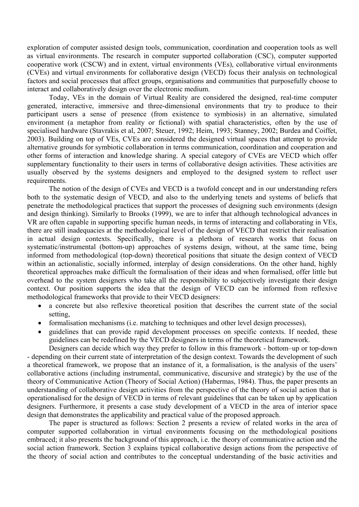exploration of computer assisted design tools, communication, coordination and cooperation tools as well as virtual environments. The research in computer supported collaboration (CSC), computer supported cooperative work (CSCW) and in extent, virtual environments (VEs), collaborative virtual environments (CVEs) and virtual environments for collaborative design (VECD) focus their analysis on technological factors and social processes that affect groups, organisations and communities that purposefully choose to interact and collaboratively design over the electronic medium.

Today, VEs in the domain of Virtual Reality are considered the designed, real-time computer generated, interactive, immersive and three-dimensional environments that try to produce to their participant users a sense of presence (from existence to symbiosis) in an alternative, simulated environment (a metaphor from reality or fictional) with spatial characteristics, often by the use of specialised hardware (Stavrakis et al, 2007; Steuer, 1992; Heim, 1993; Stanney, 2002; Burdea and Coiffet, 2003). Building on top of VEs, CVEs are considered the designed virtual spaces that attempt to provide alternative grounds for symbiotic collaboration in terms communication, coordination and cooperation and other forms of interaction and knowledge sharing. A special category of CVEs are VECD which offer supplementary functionality to their users in terms of collaborative design activities. These activities are usually observed by the systems designers and employed to the designed system to reflect user requirements.

The notion of the design of CVEs and VECD is a twofold concept and in our understanding refers both to the systematic design of VECD, and also to the underlying tenets and systems of beliefs that penetrate the methodological practices that support the processes of designing such environments (design and design thinking). Similarly to Brooks (1999), we are to infer that although technological advances in VR are often capable in supporting specific human needs, in terms of interacting and collaborating in VEs, there are still inadequacies at the methodological level of the design of VECD that restrict their realisation in actual design contexts. Specifically, there is a plethora of research works that focus on systematic/instrumental (bottom-up) approaches of systems design, without, at the same time, being informed from methodological (top-down) theoretical positions that situate the design context of VECD within an actionalistic, socially informed, interplay of design considerations. On the other hand, highly theoretical approaches make difficult the formalisation of their ideas and when formalised, offer little but overhead to the system designers who take all the responsibility to subjectively investigate their design context. Our position supports the idea that the design of VECD can be informed from reflexive methodological frameworks that provide to their VECD designers:

- a concrete but also reflexive theoretical position that describes the current state of the social setting,
- formalisation mechanisms (i.e. matching to techniques and other level design processes),
- guidelines that can provide rapid development processes on specific contexts. If needed, these guidelines can be redefined by the VECD designers in terms of the theoretical framework.

Designers can decide which way they prefer to follow in this framework - bottom–up or top-down - depending on their current state of interpretation of the design context. Towards the development of such a theoretical framework, we propose that an instance of it, a formalisation, is the analysis of the users' collaborative actions (including instrumental, communicative, discursive and strategic) by the use of the theory of Communicative Action (Theory of Social Action) (Habermas, 1984). Thus, the paper presents an understanding of collaborative design activities from the perspective of the theory of social action that is operationalised for the design of VECD in terms of relevant guidelines that can be taken up by application designers. Furthermore, it presents a case study development of a VECD in the area of interior space design that demonstrates the applicability and practical value of the proposed approach.

The paper is structured as follows: Section 2 presents a review of related works in the area of computer supported collaboration in virtual environments focusing on the methodological positions embraced; it also presents the background of this approach, i.e. the theory of communicative action and the social action framework. Section 3 explains typical collaborative design actions from the perspective of the theory of social action and contributes to the conceptual understanding of the basic activities and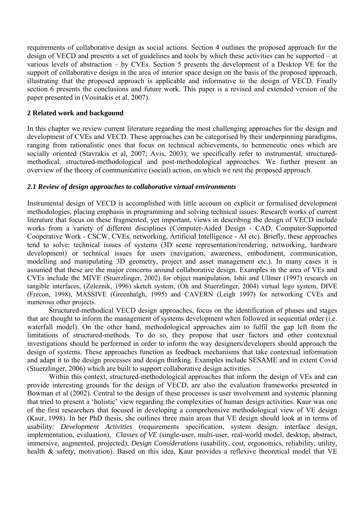requirements of collaborative design as social actions. Section 4 outlines the proposed approach for the design of VECD and presents a set of guidelines and tools by which these activities can be supported – at various levels of abstraction – by CVEs. Section 5 presents the development of a Desktop VE for the support of collaborative design in the area of interior space design on the basis of the proposed approach, illustrating that the proposed approach is applicable and informative to the design of VECD. Finally section 6 presents the conclusions and future work. This paper is a revised and extended version of the paper presented in (Vosinakis et al, 2007).

#### **2 Related work and backgound**

In this chapter we review current literature regarding the most challenging approaches for the design and development of CVEs and VECD. These approaches can be categorised by their underpinning paradigms, ranging from rationalistic ones that focus on technical achievements, to hermeneutic ones which are socially oriented (Stavrakis et al, 2007; Avis, 2003); we specifically refer to instrumental, structuredmethodical, structured-methodological and post-methodological approaches. We further present an overview of the theory of communicative (social) action, on which we rest the proposed approach.

### *2.1 Review of design approaches to collaborative virtual environments*

Instrumental design of VECD is accomplished with little account on explicit or formalised development methodologies, placing emphasis in programming and solving technical issues. Research works of current literature that focus on these fragmented, yet important, views in describing the design of VECD include works from a variety of different disciplines (Computer-Aided Design - CAD, Computer-Supported Cooperative Work - CSCW, CVEs, networking, Artificial Intelligence - AI etc). Briefly, these approaches tend to solve: technical issues of systems (3D scene representation/rendering, networking, hardware development) or technical issues for users (navigation, awareness, embodiment, communication, modelling and manipulating 3D geometry, project and asset management etc.). In many cases it is assumed that these are the major concerns around collaborative design. Examples in the area of VEs and CVEs include the MIVE (Stuerzlinger, 2002) for object manipulation, Ishii and Ullmer (1997) research on tangible interfaces, (Zeleznik, 1996) sketch system, (Oh and Stuerzlinger, 2004) virtual lego system, DIVE (Frecon, 1998), MASSIVE (Greenhalgh, 1995) and CAVERN (Leigh 1997) for networking CVEs and numerous other projects.

Structured-methodical VECD design approaches, focus on the identification of phases and stages that are thought to inform the management of systems development when followed in sequential order (i.e. waterfall model). On the other hand, methodological approaches aim to fulfil the gap left from the limitations of structured-methods. To do so, they propose that user factors and other contextual investigations should be performed in order to inform the way designers/developers should approach the design of systems. These approaches function as feedback mechanisms that take contextual information and adapt it to the design processes and design thinking. Examples include SESAME and in extent Covid (Stuerzlinger, 2006) which are built to support collaborative design activities.

Within this context, structured-methodological approaches that inform the design of VEs and can provide interesting grounds for the design of VECD, are also the evaluation frameworks presented in Bowman et al (2002). Central to the design of these processes is user involvement and systemic planning that tried to present a 'holistic' view regarding the complexities of human design activities. Kaur was one of the first researchers that focused in developing a comprehensive methodological view of VE design (Kaur, 1998). In her PhD thesis, she outlines three main areas that VE design should look at in terms of usability: *Development Activities* (requirements specification, system design, interface design, implementation, evaluation), *Classes of VE* (single-user, multi-user, real-world model, desktop, abstract, immersive, augmented, projected), *Design Considerations* (usability, cost, ergonomics, reliability, utility, health & safety, motivation). Based on this idea, Kaur provides a reflexive theoretical model that VE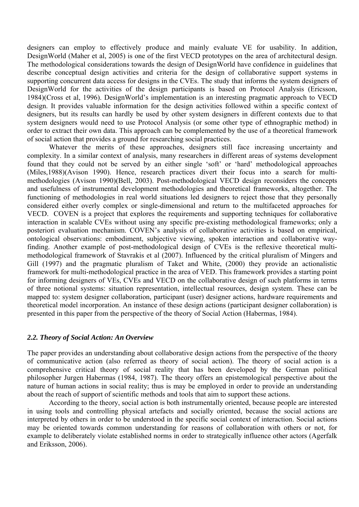designers can employ to effectively produce and mainly evaluate VE for usability. In addition, DesignWorld (Maher et al, 2005) is one of the first VECD prototypes on the area of architectural design. The methodological considerations towards the design of DesignWorld have confidence in guidelines that describe conceptual design activities and criteria for the design of collaborative support systems in supporting concurrent data access for designs in the CVEs. The study that informs the system designers of DesignWorld for the activities of the design participants is based on Protocol Analysis (Ericsson, 1984)(Cross et al, 1996). DesignWorld's implementation is an interesting pragmatic approach to VECD design. It provides valuable information for the design activities followed within a specific context of designers, but its results can hardly be used by other system designers in different contexts due to that system designers would need to use Protocol Analysis (or some other type of ethnographic method) in order to extract their own data. This approach can be complemented by the use of a theoretical framework of social action that provides a ground for researching social practices.

Whatever the merits of these approaches, designers still face increasing uncertainty and complexity. In a similar context of analysis, many researchers in different areas of systems development found that they could not be served by an either single 'soft' or 'hard' methodological approaches (Miles,1988)(Avison 1990). Hence, research practices divert their focus into a search for multimethodologies (Avison 1990)(Bell, 2003). Post-methodological VECD design reconsiders the concepts and usefulness of instrumental development methodologies and theoretical frameworks, altogether. The functioning of methodologies in real world situations led designers to reject those that they personally considered either overly complex or single-dimensional and return to the multifaceted approaches for VECD. COVEN is a project that explores the requirements and supporting techniques for collaborative interaction in scalable CVEs without using any specific pre-existing methodological frameworks; only a posteriori evaluation mechanism. COVEN's analysis of collaborative activities is based on empirical, ontological observations: embodiment, subjective viewing, spoken interaction and collaborative wayfinding. Another example of post-methodological design of CVEs is the reflexive theoretical multimethodological framework of Stavrakis et al (2007). Influenced by the critical pluralism of Mingers and Gill (1997) and the pragmatic pluralism of Taket and White, (2000) they provide an actionalistic framework for multi-methodological practice in the area of VED. This framework provides a starting point for informing designers of VEs, CVEs and VECD on the collaborative design of such platforms in terms of three notional systems: situation representation, intellectual resources, design system. These can be mapped to: system designer collaboration, participant (user) designer actions, hardware requirements and theoretical model incorporation. An instance of these design actions (participant designer collaboration) is presented in this paper from the perspective of the theory of Social Action (Habermas, 1984).

#### *2.2. Theory of Social Action: An Overview*

The paper provides an understanding about collaborative design actions from the perspective of the theory of communicative action (also referred as theory of social action). The theory of social action is a comprehensive critical theory of social reality that has been developed by the German political philosopher Jurgen Habermas (1984, 1987). The theory offers an epistemological perspective about the nature of human actions in social reality; thus is may be employed in order to provide an understanding about the reach of support of scientific methods and tools that aim to support these actions.

According to the theory, social action is both instrumentally oriented, because people are interested in using tools and controlling physical artefacts and socially oriented, because the social actions are interpreted by others in order to be understood in the specific social context of interaction. Social actions may be oriented towards common understanding for reasons of collaboration with others or not, for example to deliberately violate established norms in order to strategically influence other actors (Agerfalk and Eriksson, 2006).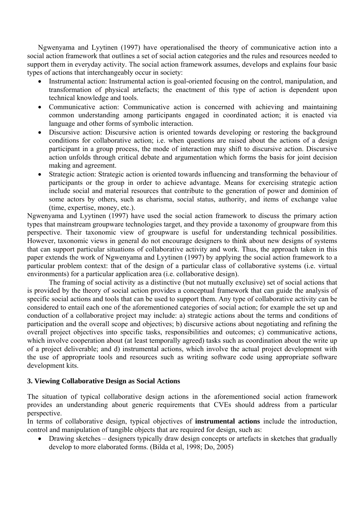Ngwenyama and Lyytinen (1997) have operationalised the theory of communicative action into a social action framework that outlines a set of social action categories and the rules and resources needed to support them in everyday activity. The social action framework assumes, develops and explains four basic types of actions that interchangeably occur in society:

- Instrumental action: Instrumental action is goal-oriented focusing on the control, manipulation, and transformation of physical artefacts; the enactment of this type of action is dependent upon technical knowledge and tools.
- Communicative action: Communicative action is concerned with achieving and maintaining common understanding among participants engaged in coordinated action; it is enacted via language and other forms of symbolic interaction.
- Discursive action: Discursive action is oriented towards developing or restoring the background conditions for collaborative action; i.e. when questions are raised about the actions of a design participant in a group process, the mode of interaction may shift to discursive action. Discursive action unfolds through critical debate and argumentation which forms the basis for joint decision making and agreement.
- Strategic action: Strategic action is oriented towards influencing and transforming the behaviour of participants or the group in order to achieve advantage. Means for exercising strategic action include social and material resources that contribute to the generation of power and dominion of some actors by others, such as charisma, social status, authority, and items of exchange value (time, expertise, money, etc.).

Ngwenyama and Lyytinen (1997) have used the social action framework to discuss the primary action types that mainstream groupware technologies target, and they provide a taxonomy of groupware from this perspective. Their taxonomic view of groupware is useful for understanding technical possibilities. However, taxonomic views in general do not encourage designers to think about new designs of systems that can support particular situations of collaborative activity and work. Thus, the approach taken in this paper extends the work of Ngwenyama and Lyytinen (1997) by applying the social action framework to a particular problem context: that of the design of a particular class of collaborative systems (i.e. virtual environments) for a particular application area (i.e. collaborative design).

The framing of social activity as a distinctive (but not mutually exclusive) set of social actions that is provided by the theory of social action provides a conceptual framework that can guide the analysis of specific social actions and tools that can be used to support them. Any type of collaborative activity can be considered to entail each one of the aforementioned categories of social action; for example the set up and conduction of a collaborative project may include: a) strategic actions about the terms and conditions of participation and the overall scope and objectives; b) discursive actions about negotiating and refining the overall project objectives into specific tasks, responsibilities and outcomes; c) communicative actions, which involve cooperation about (at least temporally agreed) tasks such as coordination about the write up of a project deliverable; and d) instrumental actions, which involve the actual project development with the use of appropriate tools and resources such as writing software code using appropriate software development kits.

#### **3. Viewing Collaborative Design as Social Actions**

The situation of typical collaborative design actions in the aforementioned social action framework provides an understanding about generic requirements that CVEs should address from a particular perspective.

In terms of collaborative design, typical objectives of **instrumental actions** include the introduction, control and manipulation of tangible objects that are required for design, such as:

• Drawing sketches – designers typically draw design concepts or artefacts in sketches that gradually develop to more elaborated forms. (Bilda et al, 1998; Do, 2005)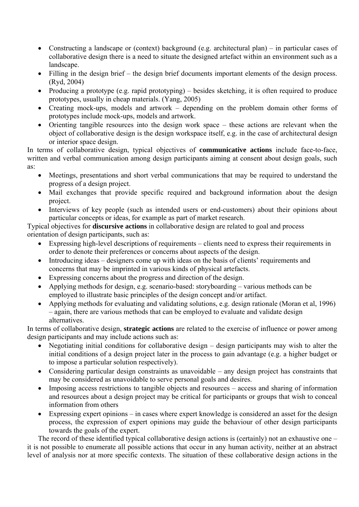- Constructing a landscape or (context) background (e.g. architectural plan) in particular cases of collaborative design there is a need to situate the designed artefact within an environment such as a landscape.
- Filling in the design brief the design brief documents important elements of the design process. (Ryd, 2004)
- Producing a prototype (e.g. rapid prototyping) besides sketching, it is often required to produce prototypes, usually in cheap materials. (Yang, 2005)
- Creating mock-ups, models and artwork depending on the problem domain other forms of prototypes include mock-ups, models and artwork.
- Orienting tangible resources into the design work space these actions are relevant when the object of collaborative design is the design workspace itself, e.g. in the case of architectural design or interior space design.

In terms of collaborative design, typical objectives of **communicative actions** include face-to-face, written and verbal communication among design participants aiming at consent about design goals, such as:

- Meetings, presentations and short verbal communications that may be required to understand the progress of a design project.
- Mail exchanges that provide specific required and background information about the design project.
- Interviews of key people (such as intended users or end-customers) about their opinions about particular concepts or ideas, for example as part of market research.

Typical objectives for **discursive actions** in collaborative design are related to goal and process orientation of design participants, such as:

- Expressing high-level descriptions of requirements clients need to express their requirements in order to denote their preferences or concerns about aspects of the design.
- Introducing ideas designers come up with ideas on the basis of clients' requirements and concerns that may be imprinted in various kinds of physical artefacts.
- Expressing concerns about the progress and direction of the design.
- Applying methods for design, e.g. scenario-based: storyboarding various methods can be employed to illustrate basic principles of the design concept and/or artifact.
- Applying methods for evaluating and validating solutions, e.g. design rationale (Moran et al, 1996) – again, there are various methods that can be employed to evaluate and validate design alternatives.

In terms of collaborative design, **strategic actions** are related to the exercise of influence or power among design participants and may include actions such as:

- Negotiating initial conditions for collaborative design design participants may wish to alter the initial conditions of a design project later in the process to gain advantage (e.g. a higher budget or to impose a particular solution respectively).
- Considering particular design constraints as unavoidable any design project has constraints that may be considered as unavoidable to serve personal goals and desires.
- Imposing access restrictions to tangible objects and resources access and sharing of information and resources about a design project may be critical for participants or groups that wish to conceal information from others
- Expressing expert opinions in cases where expert knowledge is considered an asset for the design process, the expression of expert opinions may guide the behaviour of other design participants towards the goals of the expert.

The record of these identified typical collaborative design actions is (certainly) not an exhaustive one – it is not possible to enumerate all possible actions that occur in any human activity, neither at an abstract level of analysis nor at more specific contexts. The situation of these collaborative design actions in the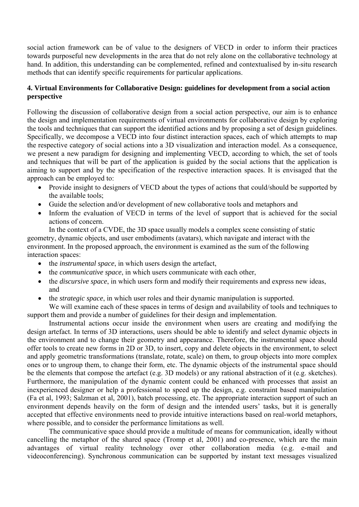social action framework can be of value to the designers of VECD in order to inform their practices towards purposeful new developments in the area that do not rely alone on the collaborative technology at hand. In addition, this understanding can be complemented, refined and contextualised by in-situ research methods that can identify specific requirements for particular applications.

## **4. Virtual Environments for Collaborative Design: guidelines for development from a social action perspective**

Following the discussion of collaborative design from a social action perspective, our aim is to enhance the design and implementation requirements of virtual environments for collaborative design by exploring the tools and techniques that can support the identified actions and by proposing a set of design guidelines. Specifically, we decompose a VECD into four distinct interaction spaces, each of which attempts to map the respective category of social actions into a 3D visualization and interaction model. As a consequence, we present a new paradigm for designing and implementing VECD, according to which, the set of tools and techniques that will be part of the application is guided by the social actions that the application is aiming to support and by the specification of the respective interaction spaces. It is envisaged that the approach can be employed to:

- Provide insight to designers of VECD about the types of actions that could/should be supported by the available tools;
- Guide the selection and/or development of new collaborative tools and metaphors and
- Inform the evaluation of VECD in terms of the level of support that is achieved for the social actions of concern.

In the context of a CVDE, the 3D space usually models a complex scene consisting of static geometry, dynamic objects, and user embodiments (avatars), which navigate and interact with the environment. In the proposed approach, the environment is examined as the sum of the following interaction spaces:

- the *instrumental space*, in which users design the artefact,
- the *communicative space*, in which users communicate with each other,
- the *discursive space*, in which users form and modify their requirements and express new ideas, and
- the *strategic space*, in which user roles and their dynamic manipulation is supported.

We will examine each of these spaces in terms of design and availability of tools and techniques to support them and provide a number of guidelines for their design and implementation.

Instrumental actions occur inside the environment when users are creating and modifying the design artefact. In terms of 3D interactions, users should be able to identify and select dynamic objects in the environment and to change their geometry and appearance. Therefore, the instrumental space should offer tools to create new forms in 2D or 3D, to insert, copy and delete objects in the environment, to select and apply geometric transformations (translate, rotate, scale) on them, to group objects into more complex ones or to ungroup them, to change their form, etc. The dynamic objects of the instrumental space should be the elements that compose the artefact (e.g. 3D models) or any rational abstraction of it (e.g. sketches). Furthermore, the manipulation of the dynamic content could be enhanced with processes that assist an inexperienced designer or help a professional to speed up the design, e.g. constraint based manipulation (Fa et al, 1993; Salzman et al, 2001), batch processing, etc. The appropriate interaction support of such an environment depends heavily on the form of design and the intended users' tasks, but it is generally accepted that effective environments need to provide intuitive interactions based on real-world metaphors, where possible, and to consider the performance limitations as well.

The communicative space should provide a multitude of means for communication, ideally without cancelling the metaphor of the shared space (Tromp et al, 2001) and co-presence, which are the main advantages of virtual reality technology over other collaboration media (e.g. e-mail and videoconferencing). Synchronous communication can be supported by instant text messages visualized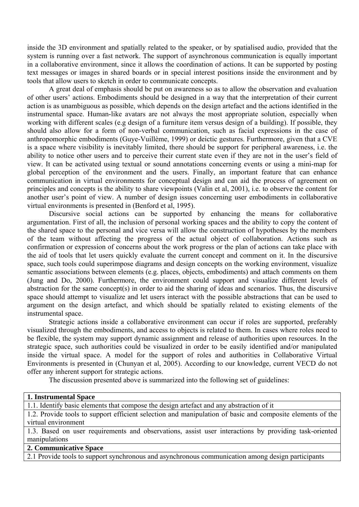inside the 3D environment and spatially related to the speaker, or by spatialised audio, provided that the system is running over a fast network. The support of asynchronous communication is equally important in a collaborative environment, since it allows the coordination of actions. It can be supported by posting text messages or images in shared boards or in special interest positions inside the environment and by tools that allow users to sketch in order to communicate concepts.

A great deal of emphasis should be put on awareness so as to allow the observation and evaluation of other users' actions. Embodiments should be designed in a way that the interpretation of their current action is as unambiguous as possible, which depends on the design artefact and the actions identified in the instrumental space. Human-like avatars are not always the most appropriate solution, especially when working with different scales (e.g design of a furniture item versus design of a building). If possible, they should also allow for a form of non-verbal communication, such as facial expressions in the case of anthropomorphic embodiments (Guye-Vuillème, 1999) or deictic gestures. Furthermore, given that a CVE is a space where visibility is inevitably limited, there should be support for peripheral awareness, i.e. the ability to notice other users and to perceive their current state even if they are not in the user's field of view. It can be activated using textual or sound annotations concerning events or using a mini-map for global perception of the environment and the users. Finally, an important feature that can enhance communication in virtual environments for conceptual design and can aid the process of agreement on principles and concepts is the ability to share viewpoints (Valin et al, 2001), i.e. to observe the content for another user's point of view. A number of design issues concerning user embodiments in collaborative virtual environments is presented in (Benford et al, 1995).

Discursive social actions can be supported by enhancing the means for collaborative argumentation. First of all, the inclusion of personal working spaces and the ability to copy the content of the shared space to the personal and vice versa will allow the construction of hypotheses by the members of the team without affecting the progress of the actual object of collaboration. Actions such as confirmation or expression of concerns about the work progress or the plan of actions can take place with the aid of tools that let users quickly evaluate the current concept and comment on it. In the discursive space, such tools could superimpose diagrams and design concepts on the working environment, visualize semantic associations between elements (e.g. places, objects, embodiments) and attach comments on them (Jung and Do, 2000). Furthermore, the environment could support and visualize different levels of abstraction for the same concept(s) in order to aid the sharing of ideas and scenarios. Thus, the discursive space should attempt to visualize and let users interact with the possible abstractions that can be used to argument on the design artefact, and which should be spatially related to existing elements of the instrumental space.

Strategic actions inside a collaborative environment can occur if roles are supported, preferably visualized through the embodiments, and access to objects is related to them. In cases where roles need to be flexible, the system may support dynamic assignment and release of authorities upon resources. In the strategic space, such authorities could be visualized in order to be easily identified and/or manipulated inside the virtual space. A model for the support of roles and authorities in Collaborative Virtual Environments is presented in (Chunyan et al, 2005). According to our knowledge, current VECD do not offer any inherent support for strategic actions.

The discussion presented above is summarized into the following set of guidelines:

#### **1. Instrumental Space**

1.1. Identify basic elements that compose the design artefact and any abstraction of it

1.2. Provide tools to support efficient selection and manipulation of basic and composite elements of the virtual environment

1.3. Based on user requirements and observations, assist user interactions by providing task-oriented manipulations

# **2. Communicative Space**

2.1 Provide tools to support synchronous and asynchronous communication among design participants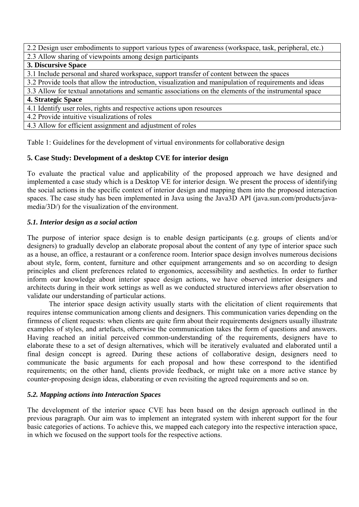2.2 Design user embodiments to support various types of awareness (workspace, task, peripheral, etc.) 2.3 Allow sharing of viewpoints among design participants

# **3. Discursive Space**

3.1 Include personal and shared workspace, support transfer of content between the spaces

3.2 Provide tools that allow the introduction, visualization and manipulation of requirements and ideas

3.3 Allow for textual annotations and semantic associations on the elements of the instrumental space

# **4. Strategic Space**

4.1 Identify user roles, rights and respective actions upon resources

4.2 Provide intuitive visualizations of roles

4.3 Allow for efficient assignment and adjustment of roles

Table 1: Guidelines for the development of virtual environments for collaborative design

# **5. Case Study: Development of a desktop CVE for interior design**

To evaluate the practical value and applicability of the proposed approach we have designed and implemented a case study which is a Desktop VE for interior design. We present the process of identifying the social actions in the specific context of interior design and mapping them into the proposed interaction spaces. The case study has been implemented in Java using the Java3D API (java.sun.com/products/javamedia/3D/) for the visualization of the environment.

# *5.1. Interior design as a social action*

The purpose of interior space design is to enable design participants (e.g. groups of clients and/or designers) to gradually develop an elaborate proposal about the content of any type of interior space such as a house, an office, a restaurant or a conference room. Interior space design involves numerous decisions about style, form, content, furniture and other equipment arrangements and so on according to design principles and client preferences related to ergonomics, accessibility and aesthetics. In order to further inform our knowledge about interior space design actions, we have observed interior designers and architects during in their work settings as well as we conducted structured interviews after observation to validate our understanding of particular actions.

The interior space design activity usually starts with the elicitation of client requirements that requires intense communication among clients and designers. This communication varies depending on the firmness of client requests: when clients are quite firm about their requirements designers usually illustrate examples of styles, and artefacts, otherwise the communication takes the form of questions and answers. Having reached an initial perceived common-understanding of the requirements, designers have to elaborate these to a set of design alternatives, which will be iteratively evaluated and elaborated until a final design concept is agreed. During these actions of collaborative design, designers need to communicate the basic arguments for each proposal and how these correspond to the identified requirements; on the other hand, clients provide feedback, or might take on a more active stance by counter-proposing design ideas, elaborating or even revisiting the agreed requirements and so on.

# *5.2. Mapping actions into Interaction Spaces*

The development of the interior space CVE has been based on the design approach outlined in the previous paragraph. Our aim was to implement an integrated system with inherent support for the four basic categories of actions. To achieve this, we mapped each category into the respective interaction space, in which we focused on the support tools for the respective actions.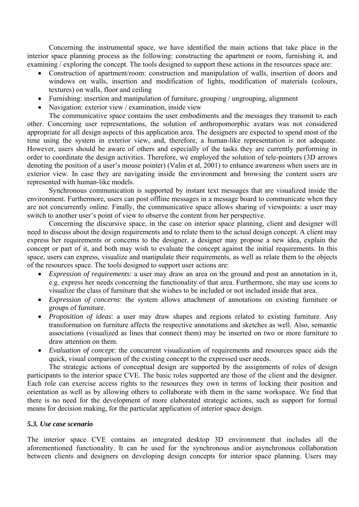Concerning the instrumental space, we have identified the main actions that take place in the interior space planning process as the following: constructing the apartment or room, furnishing it, and examining / exploring the concept. The tools designed to support these actions in the resources space are:

- Construction of apartment/room: construction and manipulation of walls, insertion of doors and windows on walls, insertion and modification of lights, modification of materials (colours, textures) on walls, floor and ceiling
- Furnishing: insertion and manipulation of furniture, grouping / ungrouping, alignment
- Navigation: exterior view / examination, inside view

The communicative space contains the user embodiments and the messages they transmit to each other. Concerning user representations, the solution of anthropomorphic avatars was not considered appropriate for all design aspects of this application area. The designers are expected to spend most of the time using the system in exterior view, and, therefore, a human-like representation is not adequate. However, users should be aware of others and especially of the tasks they are currently performing in order to coordinate the design activities. Therefore, we employed the solution of tele-pointers (3D arrows denoting the position of a user's mouse pointer) (Valin et al, 2001) to enhance awareness when users are in exterior view. In case they are navigating inside the environment and browsing the content users are represented with human-like models.

Synchronous communication is supported by instant text messages that are visualized inside the environment. Furthermore, users can post offline messages in a message board to communicate when they are not concurrently online. Finally, the communicative space allows sharing of viewpoints: a user may switch to another user's point of view to observe the content from her perspective.

Concerning the discursive space, in the case on interior space planning, client and designer will need to discuss about the design requirements and to relate them to the actual design concept. A client may express her requirements or concerns to the designer, a designer may propose a new idea, explain the concept or part of it, and both may wish to evaluate the concept against the initial requirements. In this space, users can express, visualize and manipulate their requirements, as well as relate them to the objects of the resources space. The tools designed to support user actions are:

- *Expression of requirements*: a user may draw an area on the ground and post an annotation in it, e.g. express her needs concerning the functionality of that area. Furthermore, she may use icons to visualize the class of furniture that she wishes to be included or not included inside that area.
- *Expression of concerns*: the system allows attachment of annotations on existing furniture or groups of furniture.
- *Proposition of ideas*: a user may draw shapes and regions related to existing furniture. Any transformation on furniture affects the respective annotations and sketches as well. Also, semantic associations (visualized as lines that connect them) may be inserted on two or more furniture to draw attention on them.
- *Evaluation of concept*: the concurrent visualization of requirements and resources space aids the quick, visual comparison of the existing concept to the expressed user needs.

The strategic actions of conceptual design are supported by the assignments of roles of design participants to the interior space CVE. The basic roles supported are those of the client and the designer. Each role can exercise access rights to the resources they own in terms of locking their position and orientation as well as by allowing others to collaborate with them in the same workspace. We find that there is no need for the development of more elaborated strategic actions, such as support for formal means for decision making, for the particular application of interior space design.

#### *5.3. Use case scenario*

The interior space CVE contains an integrated desktop 3D environment that includes all the aforementioned functionality. It can be used for the synchronous and/or asynchronous collaboration between clients and designers on developing design concepts for interior space planning. Users may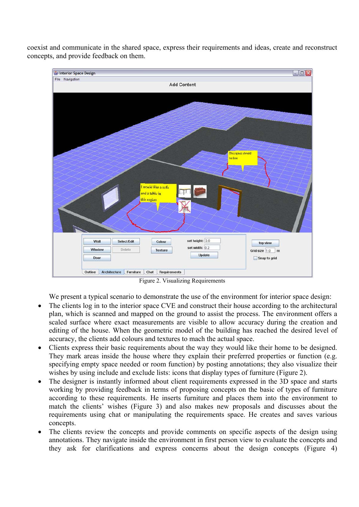coexist and communicate in the shared space, express their requirements and ideas, create and reconstruct concepts, and provide feedback on them.



Figure 2. Visualizing Requirements

We present a typical scenario to demonstrate the use of the environment for interior space design:

- The clients log in to the interior space CVE and construct their house according to the architectural plan, which is scanned and mapped on the ground to assist the process. The environment offers a scaled surface where exact measurements are visible to allow accuracy during the creation and editing of the house. When the geometric model of the building has reached the desired level of accuracy, the clients add colours and textures to mach the actual space.
- Clients express their basic requirements about the way they would like their home to be designed. They mark areas inside the house where they explain their preferred properties or function (e.g. specifying empty space needed or room function) by posting annotations; they also visualize their wishes by using include and exclude lists: icons that display types of furniture (Figure 2).
- The designer is instantly informed about client requirements expressed in the 3D space and starts working by providing feedback in terms of proposing concepts on the basic of types of furniture according to these requirements. He inserts furniture and places them into the environment to match the clients' wishes (Figure 3) and also makes new proposals and discusses about the requirements using chat or manipulating the requirements space. He creates and saves various concepts.
- The clients review the concepts and provide comments on specific aspects of the design using annotations. They navigate inside the environment in first person view to evaluate the concepts and they ask for clarifications and express concerns about the design concepts (Figure 4)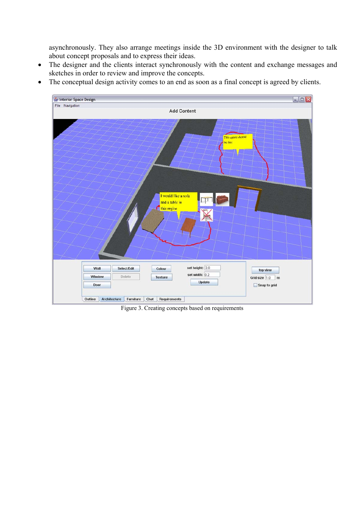asynchronously. They also arrange meetings inside the 3D environment with the designer to talk about concept proposals and to express their ideas.

- The designer and the clients interact synchronously with the content and exchange messages and sketches in order to review and improve the concepts.
- The conceptual design activity comes to an end as soon as a final concept is agreed by clients.



Figure 3. Creating concepts based on requirements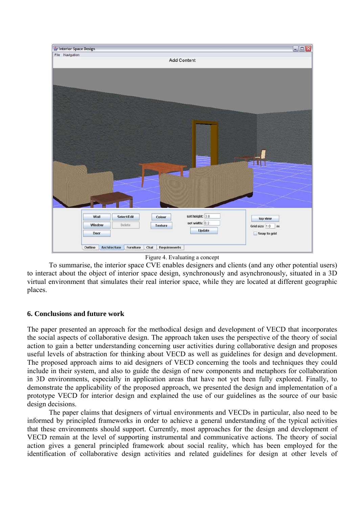| Interior Space Design                                                                 | $\Box$ DX          |
|---------------------------------------------------------------------------------------|--------------------|
| File Navigation<br><b>Add Content</b>                                                 |                    |
|                                                                                       |                    |
|                                                                                       |                    |
|                                                                                       |                    |
|                                                                                       |                    |
|                                                                                       |                    |
|                                                                                       |                    |
|                                                                                       |                    |
|                                                                                       |                    |
|                                                                                       |                    |
|                                                                                       |                    |
|                                                                                       |                    |
|                                                                                       |                    |
|                                                                                       |                    |
|                                                                                       |                    |
|                                                                                       |                    |
|                                                                                       |                    |
|                                                                                       |                    |
|                                                                                       |                    |
| set height: $3.0$<br>Wall<br><b>Select/Edit</b><br>Colour<br>set width: $\boxed{0.2}$ | top view           |
| Window<br>Delete<br>Texture<br>Update                                                 | Grid size 1.0<br>m |
| Door                                                                                  | Snap to grid       |
| Furniture<br><b>Requirements</b><br>Outline<br>Architecture<br>Chat                   |                    |
|                                                                                       |                    |

To summarise, the interior space CVE enables designers and clients (and any other potential users) to interact about the object of interior space design, synchronously and asynchronously, situated in a 3D virtual environment that simulates their real interior space, while they are located at different geographic places.

# **6. Conclusions and future work**

The paper presented an approach for the methodical design and development of VECD that incorporates the social aspects of collaborative design. The approach taken uses the perspective of the theory of social action to gain a better understanding concerning user activities during collaborative design and proposes useful levels of abstraction for thinking about VECD as well as guidelines for design and development. The proposed approach aims to aid designers of VECD concerning the tools and techniques they could include in their system, and also to guide the design of new components and metaphors for collaboration in 3D environments, especially in application areas that have not yet been fully explored. Finally, to demonstrate the applicability of the proposed approach, we presented the design and implementation of a prototype VECD for interior design and explained the use of our guidelines as the source of our basic design decisions.

 The paper claims that designers of virtual environments and VECDs in particular, also need to be informed by principled frameworks in order to achieve a general understanding of the typical activities that these environments should support. Currently, most approaches for the design and development of VECD remain at the level of supporting instrumental and communicative actions. The theory of social action gives a general principled framework about social reality, which has been employed for the identification of collaborative design activities and related guidelines for design at other levels of

Figure 4. Evaluating a concept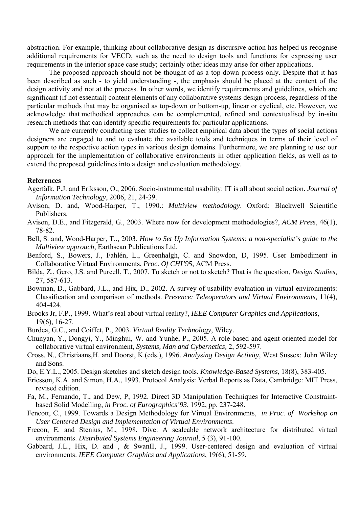abstraction. For example, thinking about collaborative design as discursive action has helped us recognise additional requirements for VECD, such as the need to design tools and functions for expressing user requirements in the interior space case study; certainly other ideas may arise for other applications.

 The proposed approach should not be thought of as a top-down process only. Despite that it has been described as such - to yield understanding -, the emphasis should be placed at the content of the design activity and not at the process. In other words, we identify requirements and guidelines, which are significant (if not essential) content elements of any collaborative systems design process, regardless of the particular methods that may be organised as top-down or bottom-up, linear or cyclical, etc. However, we acknowledge that methodical approaches can be complemented, refined and contextualised by in-situ research methods that can identify specific requirements for particular applications.

We are currently conducting user studies to collect empirical data about the types of social actions designers are engaged to and to evaluate the available tools and techniques in terms of their level of support to the respective action types in various design domains. Furthermore, we are planning to use our approach for the implementation of collaborative environments in other application fields, as well as to extend the proposed guidelines into a design and evaluation methodology.

#### **References**

- Agerfalk, P.J. and Eriksson, O., 2006. Socio-instrumental usability: IT is all about social action. *Journal of Information Technology*, 2006, 21, 24-39.
- Avison, D. and, Wood-Harper, T., 1990.: *Multiview methodology*. Oxford: Blackwell Scientific Publishers.
- Avison, D.E., and Fitzgerald, G., 2003. Where now for development methodologies?, *ACM Press*, 46(1), 78-82.
- Bell, S. and, Wood-Harper, T.., 2003. *How to Set Up Information Systems: a non-specialist's guide to the Multiview approach*, Earthscan Publications Ltd.
- Benford, S., Bowers, J., Fahlén, L., Greenhalgh, C. and Snowdon, D, 1995. User Embodiment in Collaborative Virtual Environments, *Proc. Of CHI'95*, ACM Press.
- Bilda, Z., Gero, J.S. and Purcell, T., 2007. To sketch or not to sketch? That is the question, *Design Studies*, 27, 587-613.
- Bowman, D., Gabbard, J.L., and Hix, D., 2002. A survey of usability evaluation in virtual environments: Classification and comparison of methods. *Presence: Teleoperators and Virtual Environments*, 11(4), 404-424.
- Brooks Jr, F.P., 1999. What's real about virtual reality?, *IEEE Computer Graphics and Applications*, 19(6), 16-27.
- Burdea, G.C., and Coiffet, P., 2003. *Virtual Reality Technology*, Wiley.
- Chunyan, Υ., Dongyi, Υ., Minghui, W. and Yunhe, P., 2005. A role-based and agent-oriented model for collaborative virtual environment, *Systems, Man and Cybernetics,* 2, 592-597.
- Cross, N., Christiaans,H. and Doorst, K.(eds.), 1996. *Analysing Design Activity*, West Sussex: John Wiley and Sons.
- Do, E.Y.L., 2005. Design sketches and sketch design tools. *Knowledge-Based Systems*, 18(8), 383-405.
- Ericsson, K.A. and Simon, H.A., 1993. Protocol Analysis: Verbal Reports as Data, Cambridge: MIT Press, revised edition.
- Fa, M., Fernando, T., and Dew, P, 1992. Direct 3D Manipulation Techniques for Interactive Constraintbased Solid Modelling, *in Proc. of Eurographics'93*, 1992, pp. 237-248.
- Fencott, C., 1999. Towards a Design Methodology for Virtual Environments, *in Proc. of Workshop on User Centered Design and Implementation of Virtual Environments*.
- Frecon, E. and Stenius, M., 1998. Dive: A scaleable network architecture for distributed virtual environments. *Distributed Systems Engineering Journal*, 5 (3), 91-100.
- Gabbard, J.L., Hix, D. and , & SwanII, J., 1999. User-centered design and evaluation of virtual environments. *IEEE Computer Graphics and Applications*, 19(6), 51-59.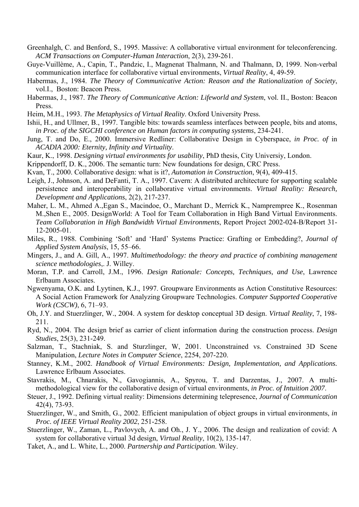- Greenhalgh, C. and Benford, S., 1995. Massive: A collaborative virtual environment for teleconferencing. *ACM Transactions on Computer-Human Interaction*, 2(3), 239-261.
- Guye-Vuillème, A., Capin, T., Pandzic, I., Magnenat Thalmann, N. and Thalmann, D, 1999. Non-verbal communication interface for collaborative virtual environments, *Virtual Reality*, 4, 49-59.
- Habermas, J., 1984. *The Theory of Communicative Action: Reason and the Rationalization of Society*, vol.I., Boston: Beacon Press.
- Habermas, J., 1987. *The Theory of Communicative Action: Lifeworld and System*, vol. II., Boston: Beacon Press.
- Heim, M.H., 1993. *The Metaphysics of Virtual Reality*. Oxford University Press.
- Ishii, H., and Ullmer, B., 1997. Tangible bits: towards seamless interfaces between people, bits and atoms, *in Proc. of the SIGCHI conference on Human factors in computing systems*, 234-241.
- Jung, T. and Do, E., 2000. Immersive Redliner: Collaborative Design in Cyberspace, *in Proc. of* in *ACADIA 2000: Eternity, Infinity and Virtuality*.
- Kaur, K., 1998. *Designing virtual environments for usability*, PhD thesis, City Universiy, London.
- Krippendorff, D. K., 2006. The semantic turn: New foundations for design, CRC Press.
- Kvan, T., 2000. Collaborative design: what is it?, *Automation in Construction*, 9(4), 409-415.
- Leigh, J., Johnson, A. and DeFanti, T. A., 1997. Cavern: A distributed architecture for supporting scalable persistence and interoperability in collaborative virtual environments. *Virtual Reality: Research, Development and Applications*, 2(2), 217-237.
- Maher, L. M., Ahmed A.,Egan S., Macindoe, O., Marchant D., Merrick K., Namprempree K., Rosenman M.,Shen E., 2005. DesignWorld: A Tool for Team Collaboration in High Band Virtual Environments. *Team Collaboration in High Bandwidth Virtual Environments*, Report Project 2002-024-B/Report 31- 12-2005-01.
- Miles, R., 1988. Combining 'Soft' and 'Hard' Systems Practice: Grafting or Embedding?, *Journal of Applied System Analysis*, 15, 55–66.
- Mingers, J., and A. Gill, A., 1997. *Multimethodology: the theory and practice of combining management science methodologies*,. J. Willey.
- Moran, T.P. and Carroll, J.M., 1996. *Design Rationale: Concepts, Techniques, and Use*, Lawrence Erlbaum Associates.
- Ngwenyama, O.K. and Lyytinen, K.J., 1997. Groupware Environments as Action Constitutive Resources: A Social Action Framework for Analyzing Groupware Technologies. *Computer Supported Cooperative Work (CSCW)*, 6, 71–93.
- Oh, J.Y. and Stuerzlinger, W., 2004. A system for desktop conceptual 3D design. *Virtual Reality*, 7, 198- 211.
- Ryd, N., 2004. The design brief as carrier of client information during the construction process. *Design Studies*, 25(3), 231-249.
- Salzman, T., Stachniak, S. and Sturzlinger, W, 2001. Unconstrained vs. Constrained 3D Scene Manipulation, *Lecture Notes in Computer Science*, 2254, 207-220.
- Stanney, K.M., 2002. *Handbook of Virtual Environments: Design, Implementation, and Applications.* Lawrence Erlbaum Associates.
- Stavrakis, M., Chnarakis, N., Gavogiannis, A., Spyrou, T. and Darzentas, J., 2007. A multimethodological view for the collaborative design of virtual environments, *in Proc. of Intuition 2007*.
- Steuer, J., 1992. Defining virtual reality: Dimensions determining telepresence, *Journal of Communication* 42(4), 73-93.
- Stuerzlinger, W., and Smith, G., 2002. Efficient manipulation of object groups in virtual environments, *in Proc. of IEEE Virtual Reality 2002*, 251-258.
- Stuerzlinger, W., Zaman, L., Pavlovych, A. and Oh., J. Y., 2006. The design and realization of covid: A system for collaborative virtual 3d design, *Virtual Reality*, 10(2), 135-147.
- Taket, A., and L. White, L., 2000. *Partnership and Participation*. Wiley.